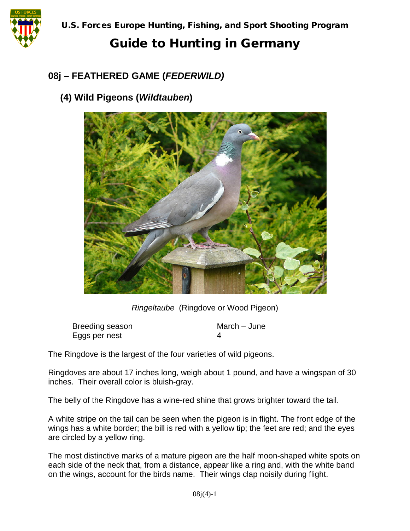

#### **08j – FEATHERED GAME (***FEDERWILD)*

#### **(4) Wild Pigeons (***Wildtauben***)**



*Ringeltaube* (Ringdove or Wood Pigeon)

Breeding season March – June Eggs per nest 4

The Ringdove is the largest of the four varieties of wild pigeons.

Ringdoves are about 17 inches long, weigh about 1 pound, and have a wingspan of 30 inches. Their overall color is bluish-gray.

The belly of the Ringdove has a wine-red shine that grows brighter toward the tail.

A white stripe on the tail can be seen when the pigeon is in flight. The front edge of the wings has a white border; the bill is red with a yellow tip; the feet are red; and the eyes are circled by a yellow ring.

The most distinctive marks of a mature pigeon are the half moon-shaped white spots on each side of the neck that, from a distance, appear like a ring and, with the white band on the wings, account for the birds name. Their wings clap noisily during flight.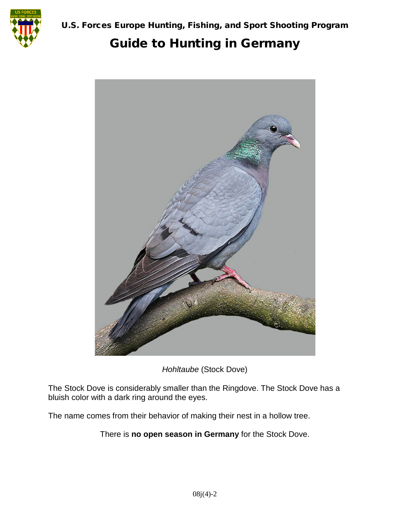



*Hohltaube* (Stock Dove)

The Stock Dove is considerably smaller than the Ringdove. The Stock Dove has a bluish color with a dark ring around the eyes.

The name comes from their behavior of making their nest in a hollow tree.

There is **no open season in Germany** for the Stock Dove.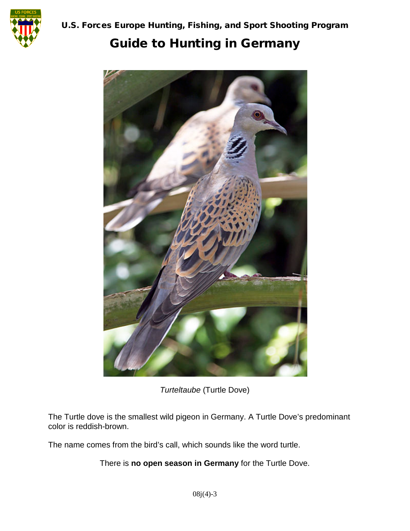



*Turteltaube* (Turtle Dove)

The Turtle dove is the smallest wild pigeon in Germany. A Turtle Dove's predominant color is reddish-brown.

The name comes from the bird's call, which sounds like the word turtle.

There is **no open season in Germany** for the Turtle Dove.